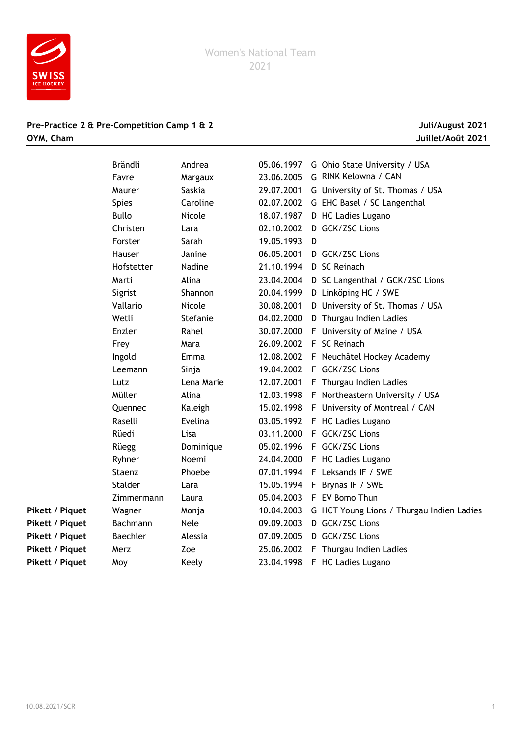

## **Pre-Practice 2 & Pre-Competition Camp 1 & 2 Juli/August 2021 OYM, Cham Juillet/Août 2021**

|                        | Brändli         | Andrea      | 05.06.1997 | G Ohio State University / USA             |
|------------------------|-----------------|-------------|------------|-------------------------------------------|
|                        | Favre           | Margaux     | 23.06.2005 | G RINK Kelowna / CAN                      |
|                        | Maurer          | Saskia      | 29.07.2001 | G University of St. Thomas / USA          |
|                        | <b>Spies</b>    | Caroline    | 02.07.2002 | G EHC Basel / SC Langenthal               |
|                        | <b>Bullo</b>    | Nicole      | 18.07.1987 | D HC Ladies Lugano                        |
|                        | Christen        | Lara        | 02.10.2002 | D GCK/ZSC Lions                           |
|                        | Forster         | Sarah       | 19.05.1993 | D                                         |
|                        | Hauser          | Janine      | 06.05.2001 | D GCK/ZSC Lions                           |
|                        | Hofstetter      | Nadine      | 21.10.1994 | D SC Reinach                              |
|                        | Marti           | Alina       | 23.04.2004 | D SC Langenthal / GCK/ZSC Lions           |
|                        | Sigrist         | Shannon     | 20.04.1999 | D Linköping HC / SWE                      |
|                        | Vallario        | Nicole      | 30.08.2001 | D University of St. Thomas / USA          |
|                        | Wetli           | Stefanie    | 04.02.2000 | D Thurgau Indien Ladies                   |
|                        | Enzler          | Rahel       | 30.07.2000 | F University of Maine / USA               |
|                        | Frey            | Mara        | 26.09.2002 | F SC Reinach                              |
|                        | Ingold          | Emma        | 12.08.2002 | F Neuchâtel Hockey Academy                |
|                        | Leemann         | Sinja       | 19.04.2002 | F GCK/ZSC Lions                           |
|                        | Lutz            | Lena Marie  | 12.07.2001 | F Thurgau Indien Ladies                   |
|                        | Müller          | Alina       | 12.03.1998 | F Northeastern University / USA           |
|                        | Quennec         | Kaleigh     | 15.02.1998 | F University of Montreal / CAN            |
|                        | Raselli         | Evelina     | 03.05.1992 | F HC Ladies Lugano                        |
|                        | Rüedi           | Lisa        | 03.11.2000 | F GCK/ZSC Lions                           |
|                        | Rüegg           | Dominique   | 05.02.1996 | F GCK/ZSC Lions                           |
|                        | Ryhner          | Noemi       | 24.04.2000 | F HC Ladies Lugano                        |
|                        | Staenz          | Phoebe      | 07.01.1994 | F Leksands IF / SWE                       |
|                        | Stalder         | Lara        | 15.05.1994 | F Brynäs IF / SWE                         |
|                        | Zimmermann      | Laura       | 05.04.2003 | F EV Bomo Thun                            |
| <b>Pikett / Piquet</b> | Wagner          | Monja       | 10.04.2003 | G HCT Young Lions / Thurgau Indien Ladies |
| Pikett / Piquet        | Bachmann        | <b>Nele</b> | 09.09.2003 | D GCK/ZSC Lions                           |
| Pikett / Piquet        | <b>Baechler</b> | Alessia     | 07.09.2005 | D GCK/ZSC Lions                           |
| <b>Pikett / Piquet</b> | Merz            | Zoe         | 25.06.2002 | F Thurgau Indien Ladies                   |
| Pikett / Piquet        | Moy             | Keely       | 23.04.1998 | F HC Ladies Lugano                        |